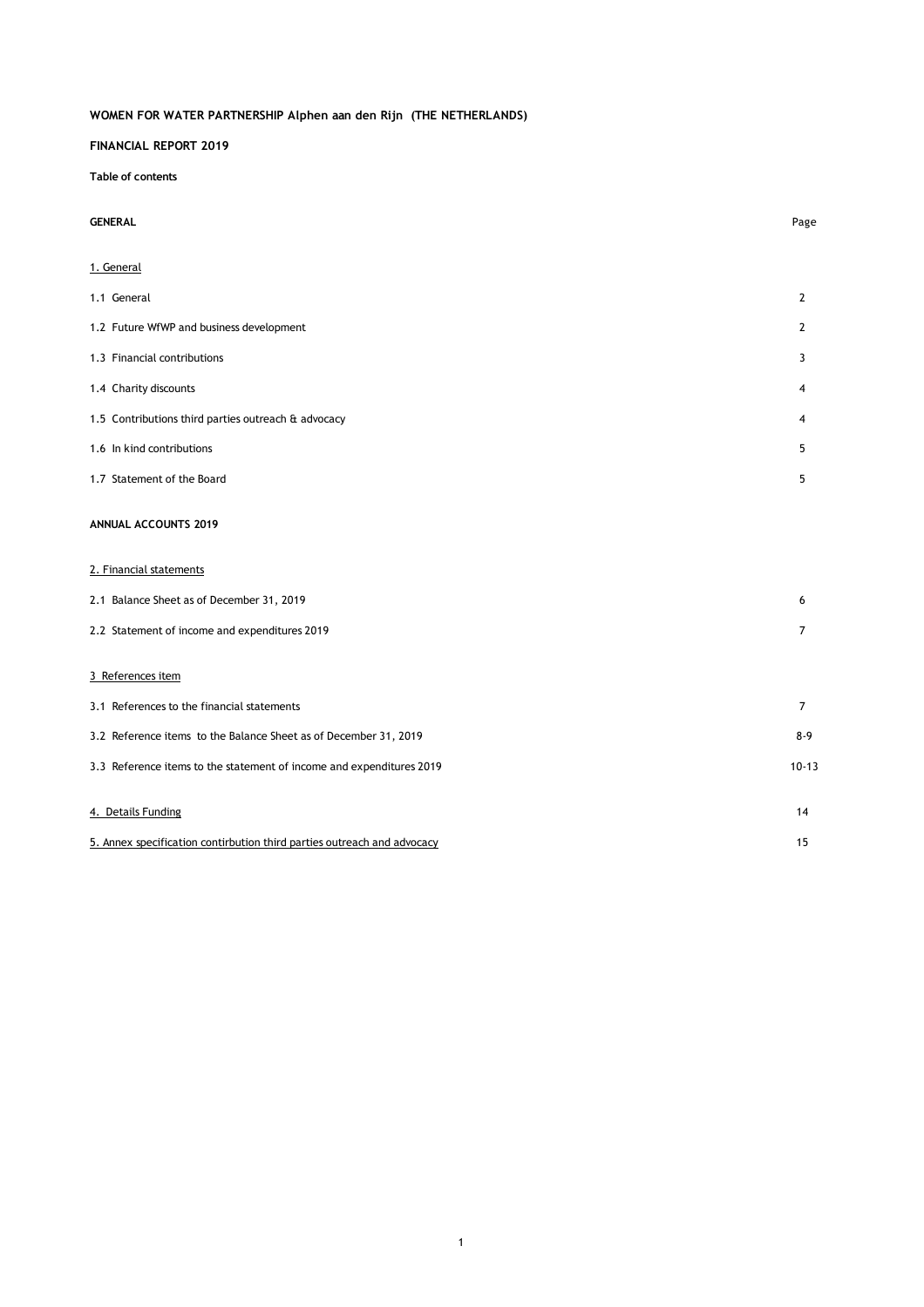### **FINANCIAL REPORT 2019**

**Table of contents**

| <b>GENERAL</b> |  |
|----------------|--|
|----------------|--|

| <b>GENERAL</b>                                                          | Page           |
|-------------------------------------------------------------------------|----------------|
| 1. General                                                              |                |
| 1.1 General                                                             | $\mathbf{2}$   |
| 1.2 Future WfWP and business development                                | 2              |
| 1.3 Financial contributions                                             | 3              |
| 1.4 Charity discounts                                                   | 4              |
| 1.5 Contributions third parties outreach & advocacy                     | 4              |
| 1.6 In kind contributions                                               | 5              |
| 1.7 Statement of the Board                                              | 5              |
| <b>ANNUAL ACCOUNTS 2019</b>                                             |                |
| 2. Financial statements                                                 |                |
| 2.1 Balance Sheet as of December 31, 2019                               | 6              |
| 2.2 Statement of income and expenditures 2019                           | 7              |
| 3 References item                                                       |                |
| 3.1 References to the financial statements                              | $\overline{7}$ |
| 3.2 Reference items to the Balance Sheet as of December 31, 2019        | $8 - 9$        |
| 3.3 Reference items to the statement of income and expenditures 2019    | $10 - 13$      |
| 4. Details Funding                                                      | 14             |
| 5. Annex specification contirbution third parties outreach and advocacy | 15             |

1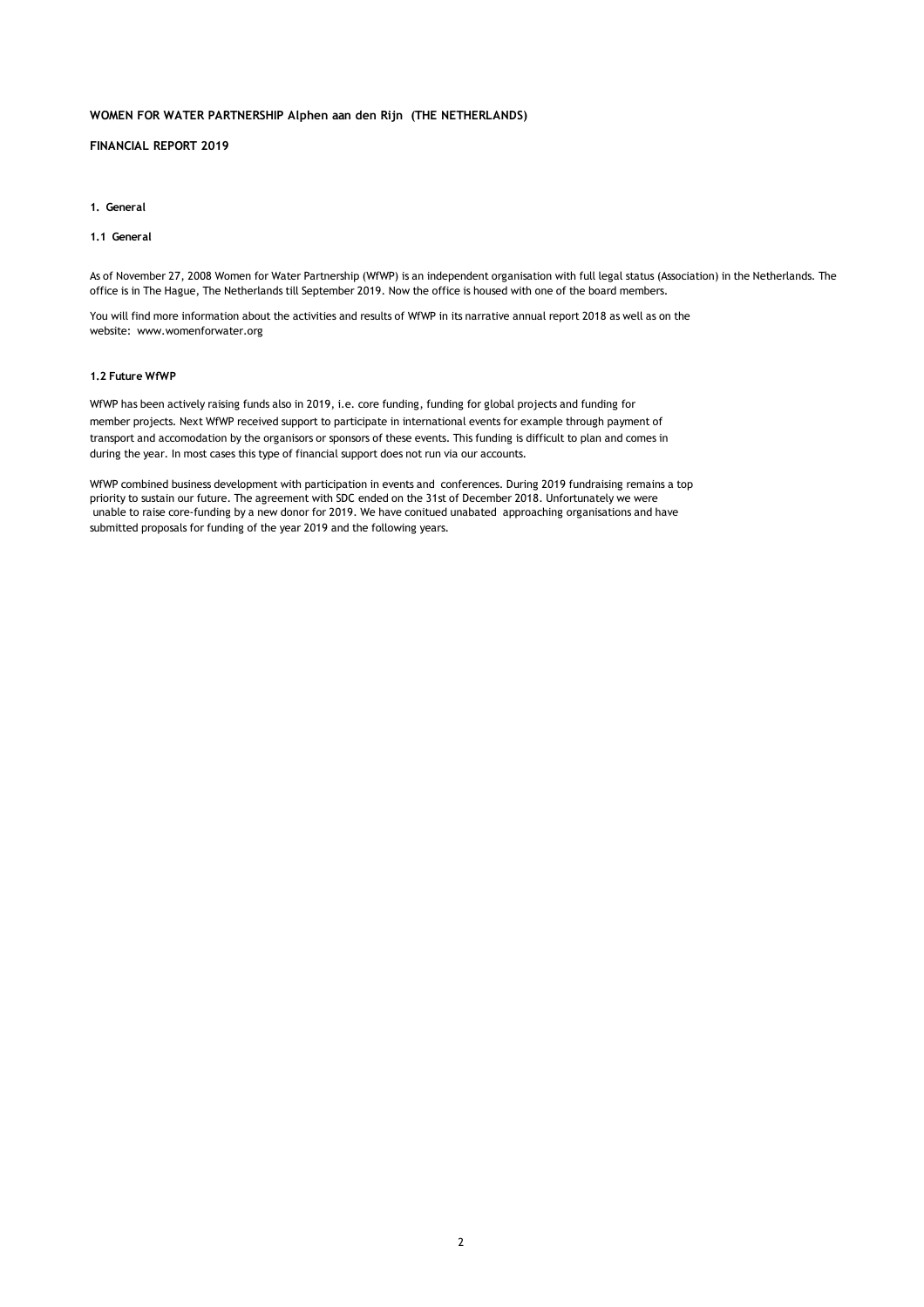### **FINANCIAL REPORT 2019**

#### **1. General**

### **1.1 General**

As of November 27, 2008 Women for Water Partnership (WfWP) is an independent organisation with full legal status (Association) in the Netherlands. The office is in The Hague, The Netherlands till September 2019. Now the office is housed with one of the board members.

You will find more information about the activities and results of WfWP in its narrative annual report 2018 as well as on the website: www.womenforwater.org

### **1.2 Future WfWP**

WfWP has been actively raising funds also in 2019, i.e. core funding, funding for global projects and funding for member projects. Next WfWP received support to participate in international events for example through payment of transport and accomodation by the organisors or sponsors of these events. This funding is difficult to plan and comes in during the year. In most cases this type of financial support does not run via our accounts.

WfWP combined business development with participation in events and conferences. During 2019 fundraising remains a top priority to sustain our future. The agreement with SDC ended on the 31st of December 2018. Unfortunately we were unable to raise core-funding by a new donor for 2019. We have conitued unabated approaching organisations and have submitted proposals for funding of the year 2019 and the following years.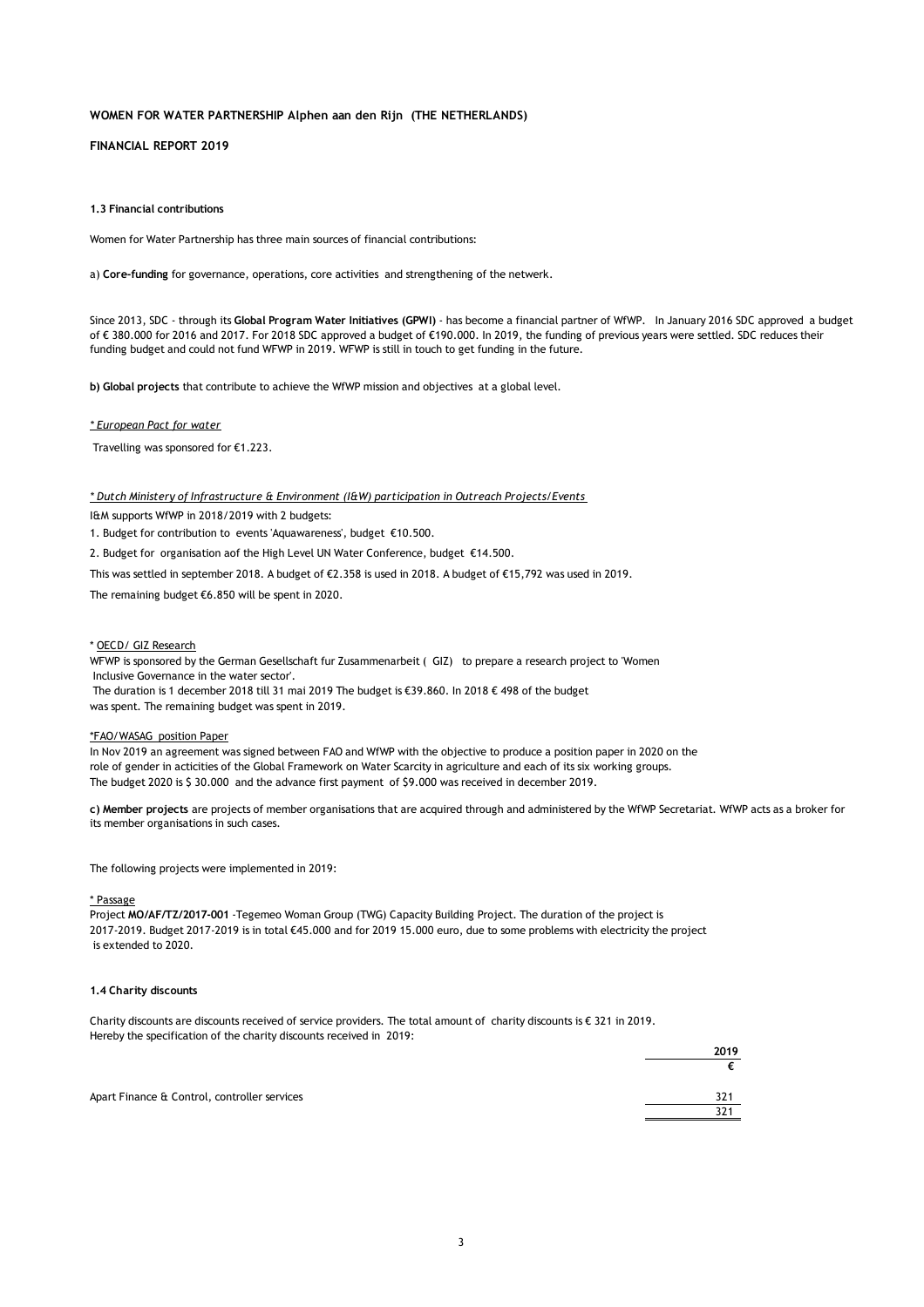**FINANCIAL REPORT 2019**

#### **1.3 Financial contributions**

Women for Water Partnership has three main sources of financial contributions:

a) **Core-funding** for governance, operations, core activities and strengthening of the netwerk.

Since 2013, SDC - through its **Global Program Water Initiatives (GPWI)** - has become a financial partner of WfWP. In January 2016 SDC approved a budget of € 380.000 for 2016 and 2017. For 2018 SDC approved a budget of €190.000. In 2019, the funding of previous years were settled. SDC reduces their funding budget and could not fund WFWP in 2019. WFWP is still in touch to get funding in the future.

**b) Global projects** that contribute to achieve the WfWP mission and objectives at a global level.

### *\* European Pact for water*

Travelling was sponsored for €1.223.

*\* Dutch Ministery of Infrastructure & Environment (I&W) participation in Outreach Projects/Events* 

I&M supports WfWP in 2018/2019 with 2 budgets:

1. Budget for contribution to events 'Aquawareness', budget €10.500.

2. Budget for organisation aof the High Level UN Water Conference, budget €14.500.

This was settled in september 2018. A budget of €2.358 is used in 2018. A budget of €15,792 was used in 2019.

The remaining budget €6.850 will be spent in 2020.

#### \* OECD/ GIZ Research

 Inclusive Governance in the water sector'. WFWP is sponsored by the German Gesellschaft fur Zusammenarbeit ( GIZ) to prepare a research project to 'Women

 The duration is 1 december 2018 till 31 mai 2019 The budget is €39.860. In 2018 € 498 of the budget was spent. The remaining budget was spent in 2019.

#### \*FAO/WASAG position Paper

In Nov 2019 an agreement was signed between FAO and WfWP with the objective to produce a position paper in 2020 on the role of gender in acticities of the Global Framework on Water Scarcity in agriculture and each of its six working groups. The budget 2020 is \$ 30.000 and the advance first payment of \$9.000 was received in december 2019.

**c) Member projects** are projects of member organisations that are acquired through and administered by the WfWP Secretariat. WfWP acts as a broker for its member organisations in such cases.

The following projects were implemented in 2019:

#### \* Passage

Project **MO/AF/TZ/2017-001** -Tegemeo Woman Group (TWG) Capacity Building Project. The duration of the project is 2017-2019. Budget 2017-2019 is in total €45.000 and for 2019 15.000 euro, due to some problems with electricity the project is extended to 2020.

#### **1.4 Charity discounts**

Charity discounts are discounts received of service providers. The total amount of charity discounts is € 321 in 2019. Hereby the specification of the charity discounts received in 2019:

| ___                                          | 2019 |
|----------------------------------------------|------|
|                                              |      |
| Apart Finance & Control, controller services | 321  |
|                                              | 321  |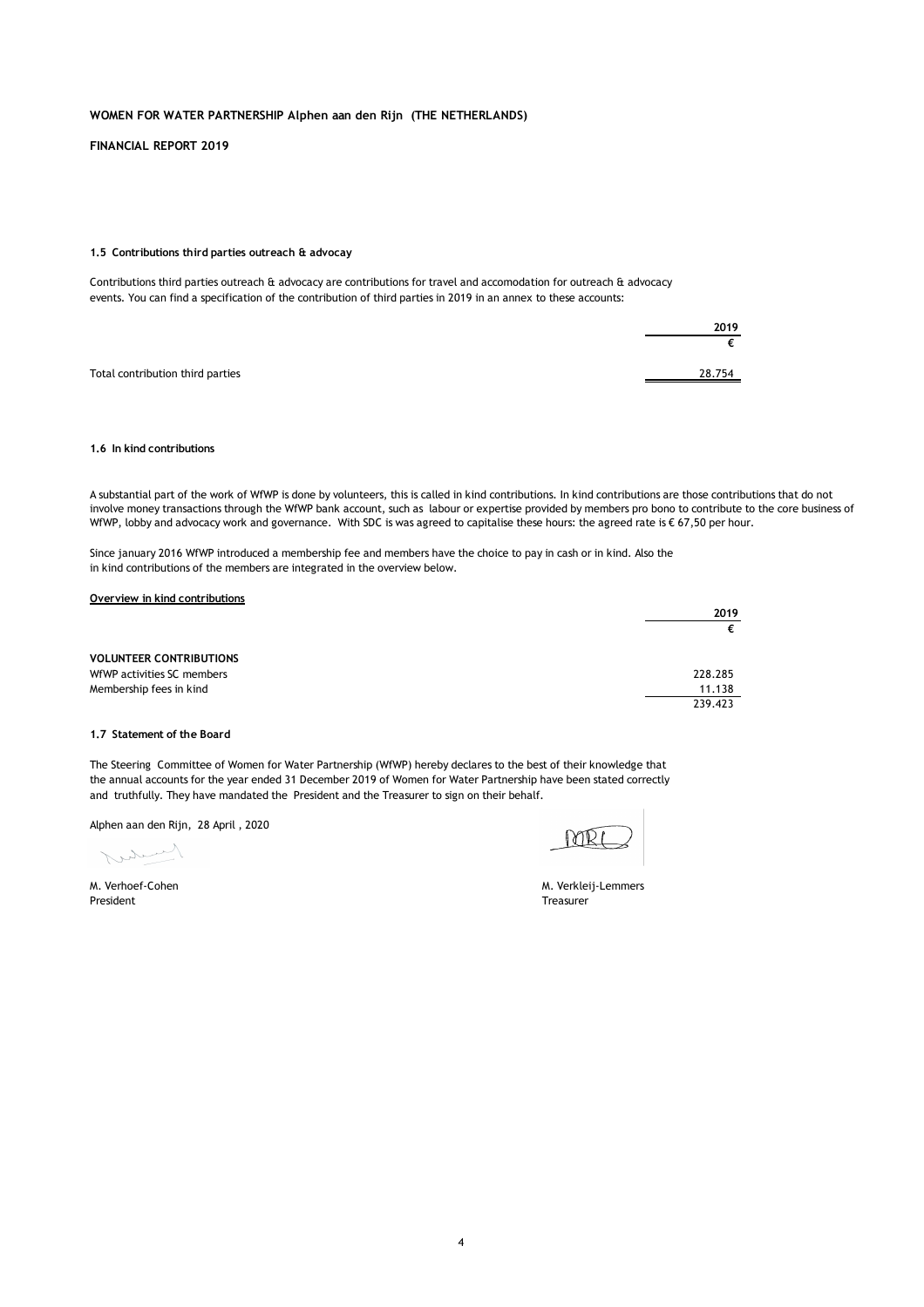**FINANCIAL REPORT 2019**

#### **1.5 Contributions third parties outreach & advocay**

Contributions third parties outreach & advocacy are contributions for travel and accomodation for outreach & advocacy events. You can find a specification of the contribution of third parties in 2019 in an annex to these accounts:

|                                  | 2019   |
|----------------------------------|--------|
|                                  |        |
| Total contribution third parties | 28.754 |

### **1.6 In kind contributions**

A substantial part of the work of WfWP is done by volunteers, this is called in kind contributions. In kind contributions are those contributions that do not involve money transactions through the WfWP bank account, such as labour or expertise provided by members pro bono to contribute to the core business of WfWP, lobby and advocacy work and governance. With SDC is was agreed to capitalise these hours: the agreed rate is € 67,50 per hour.

Since january 2016 WfWP introduced a membership fee and members have the choice to pay in cash or in kind. Also the in kind contributions of the members are integrated in the overview below.

| Overview in kind contributions |         |
|--------------------------------|---------|
|                                | 2019    |
|                                |         |
| <b>VOLUNTEER CONTRIBUTIONS</b> |         |
| WfWP activities SC members     | 228.285 |
| Membership fees in kind        | 11.138  |
|                                | 239.423 |

#### **1.7 Statement of the Board**

The Steering Committee of Women for Water Partnership (WfWP) hereby declares to the best of their knowledge that the annual accounts for the year ended 31 December 2019 of Women for Water Partnership have been stated correctly and truthfully. They have mandated the President and the Treasurer to sign on their behalf.

Alphen aan den Rijn, 28 April , 2020

Kurty

President Treasurer

M. Verhoef-Cohen M. Verkleij-Lemmers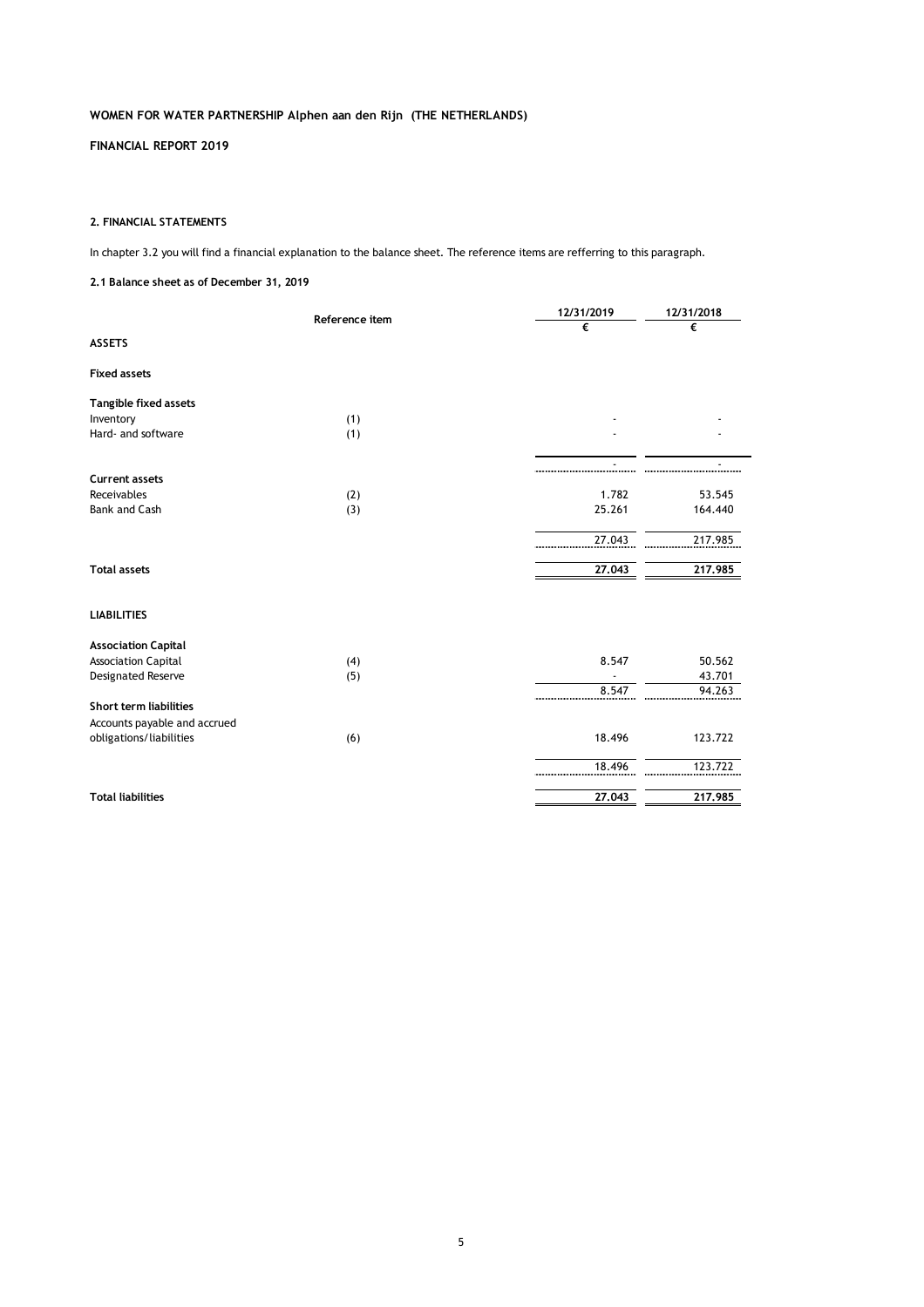**FINANCIAL REPORT 2019**

### **2. FINANCIAL STATEMENTS**

In chapter 3.2 you will find a financial explanation to the balance sheet. The reference items are refferring to this paragraph.

### **2.1 Balance sheet as of December 31, 2019**

|                               | Reference item | 12/31/2019 | 12/31/2018 |
|-------------------------------|----------------|------------|------------|
|                               |                | €          | €          |
| <b>ASSETS</b>                 |                |            |            |
| <b>Fixed assets</b>           |                |            |            |
| <b>Tangible fixed assets</b>  |                |            |            |
| Inventory                     | (1)            |            |            |
| Hard- and software            | (1)            |            |            |
|                               |                |            |            |
| <b>Current assets</b>         |                |            |            |
| Receivables                   | (2)            | 1.782      | 53.545     |
| <b>Bank and Cash</b>          | (3)            | 25.261     | 164.440    |
|                               |                | 27.043     | 217.985    |
| <b>Total assets</b>           |                | 27.043     | 217.985    |
| <b>LIABILITIES</b>            |                |            |            |
| <b>Association Capital</b>    |                |            |            |
| <b>Association Capital</b>    | (4)            | 8.547      | 50.562     |
| Designated Reserve            | (5)            |            | 43.701     |
|                               |                | 8.547      | 94.263     |
| <b>Short term liabilities</b> |                |            |            |
| Accounts payable and accrued  |                |            |            |
| obligations/liabilities       | (6)            | 18.496     | 123.722    |
|                               |                | 18.496     | 123.722    |
| <b>Total liabilities</b>      |                | 27.043     | 217.985    |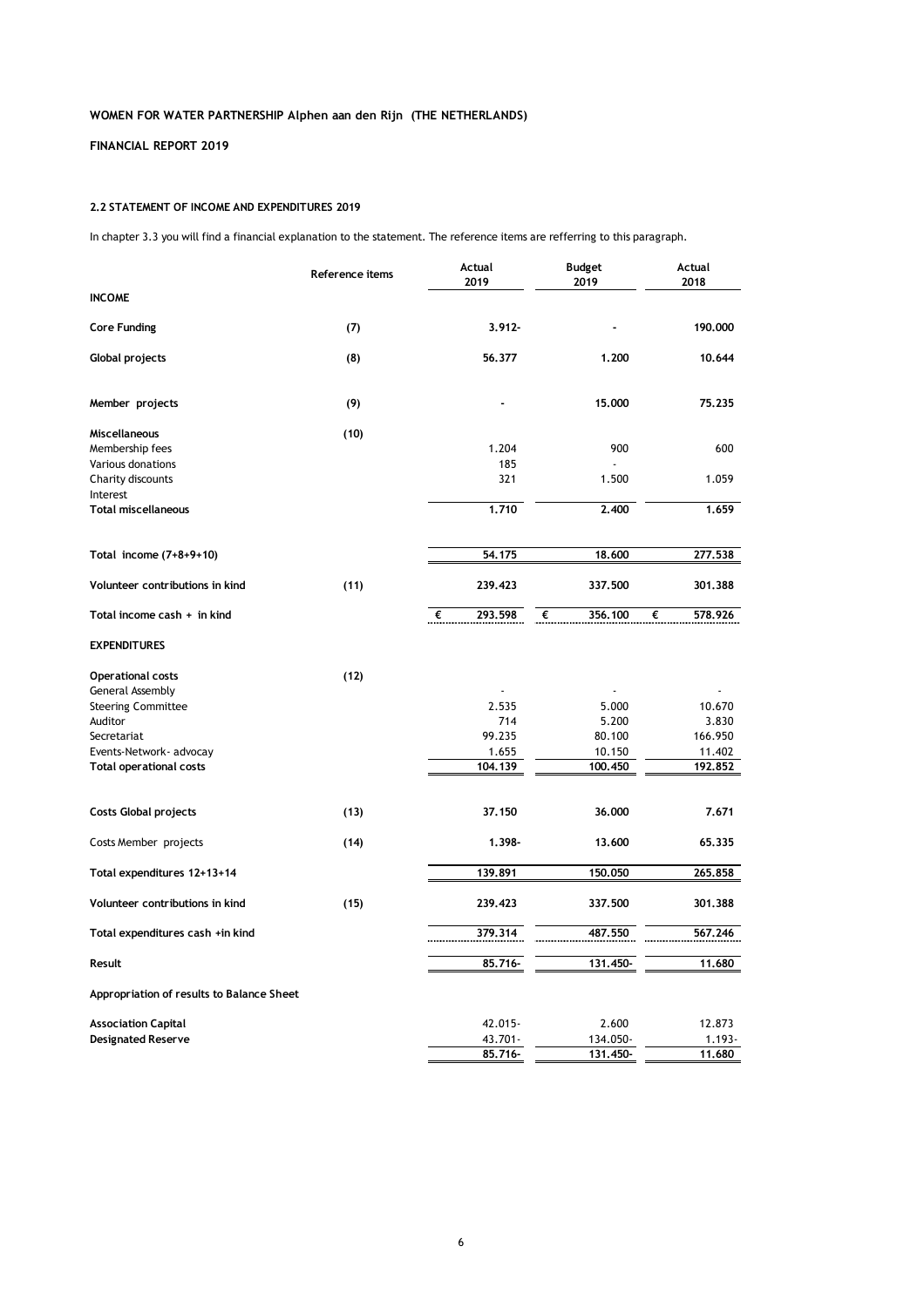## **FINANCIAL REPORT 2019**

### **2.2 STATEMENT OF INCOME AND EXPENDITURES 2019**

In chapter 3.3 you will find a financial explanation to the statement. The reference items are refferring to this paragraph.

|                                           | Reference items | Actual<br>2019 | <b>Budget</b><br>2019 | Actual<br>2018 |
|-------------------------------------------|-----------------|----------------|-----------------------|----------------|
| <b>INCOME</b>                             |                 |                |                       |                |
| <b>Core Funding</b>                       | (7)             | $3.912 -$      |                       | 190.000        |
| Global projects                           | (8)             | 56,377         | 1.200                 | 10.644         |
| Member projects                           | (9)             |                | 15,000                | 75,235         |
| Miscellaneous                             | (10)            |                |                       |                |
| Membership fees                           |                 | 1.204          | 900                   | 600            |
| Various donations                         |                 | 185            | $\overline{a}$        |                |
| Charity discounts<br>Interest             |                 | 321            | 1.500                 | 1.059          |
| <b>Total miscellaneous</b>                |                 | 1.710          | 2,400                 | 1.659          |
| Total income (7+8+9+10)                   |                 | 54.175         | 18.600                | 277.538        |
|                                           |                 |                |                       |                |
| Volunteer contributions in kind           | (11)            | 239.423        | 337.500               | 301.388        |
| Total income cash $+$ in kind             |                 | 293.598<br>⋰€  | €<br>356.100          | €<br>578.926   |
| <b>EXPENDITURES</b>                       |                 |                |                       |                |
| Operational costs                         | (12)            |                |                       |                |
| General Assembly                          |                 |                |                       |                |
| <b>Steering Committee</b>                 |                 | 2.535          | 5.000                 | 10.670         |
| Auditor                                   |                 | 714            | 5.200                 | 3.830          |
| Secretariat                               |                 | 99.235         | 80.100                | 166.950        |
| Events-Network- advocay                   |                 | 1.655          | 10.150                | 11.402         |
| <b>Total operational costs</b>            |                 | 104.139        | 100.450               | 192.852        |
| <b>Costs Global projects</b>              | (13)            | 37.150         | 36,000                | 7.671          |
| Costs Member projects                     | (14)            | 1.398-         | 13,600                | 65,335         |
| Total expenditures 12+13+14               |                 | 139.891        | 150.050               | 265.858        |
| Volunteer contributions in kind           | (15)            | 239.423        | 337.500               | 301.388        |
| Total expenditures cash +in kind          |                 | 379.314        | 487.550               | 567.246        |
| Result                                    |                 | 85.716-        | 131.450-              | 11.680         |
| Appropriation of results to Balance Sheet |                 |                |                       |                |
| <b>Association Capital</b>                |                 | 42.015-        | 2.600                 | 12.873         |
| <b>Designated Reserve</b>                 |                 | 43.701-        | 134.050-              | $1.193 -$      |
|                                           |                 | 85.716-        | 131.450-              | 11.680         |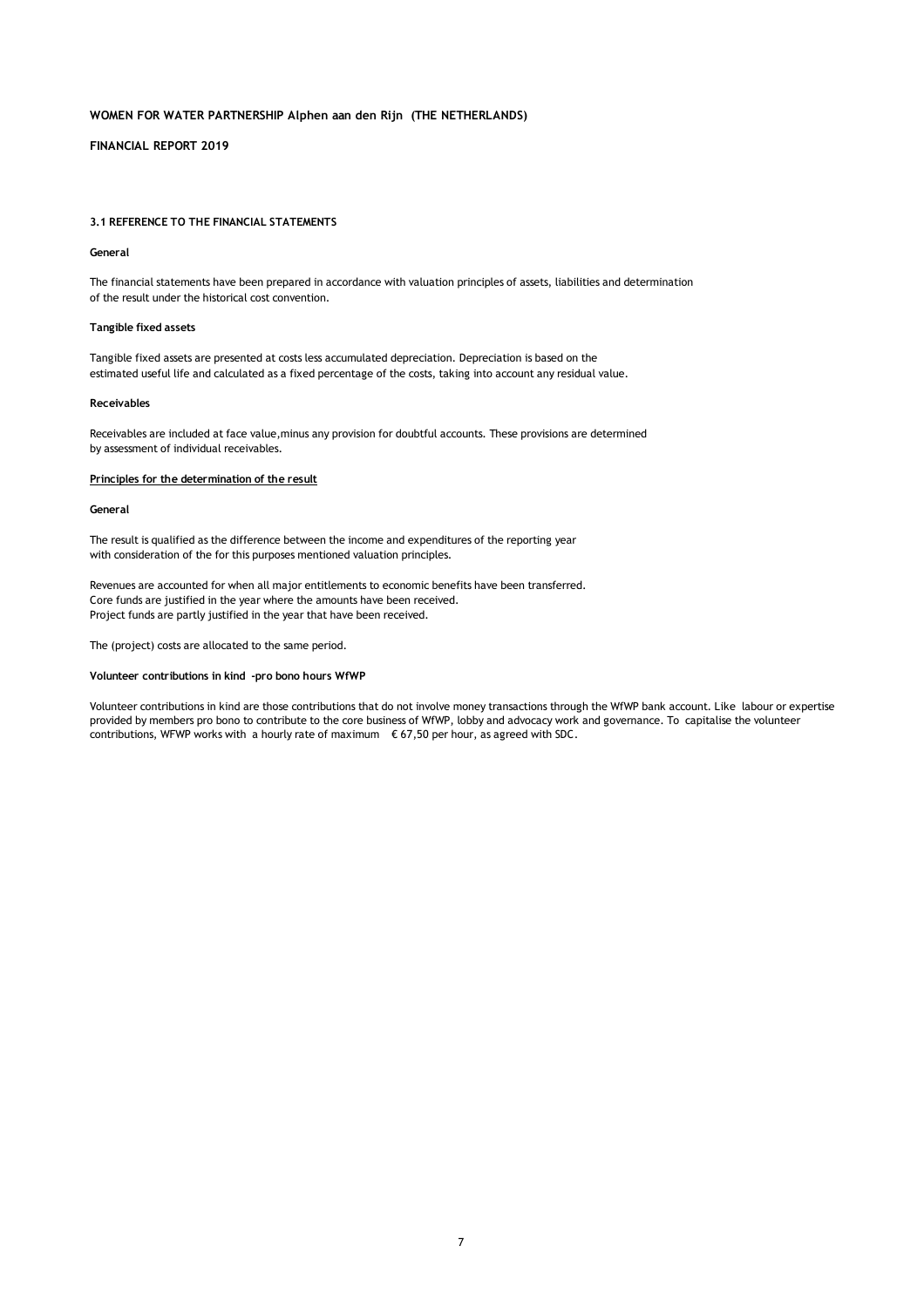### **FINANCIAL REPORT 2019**

#### **3.1 REFERENCE TO THE FINANCIAL STATEMENTS**

#### **General**

The financial statements have been prepared in accordance with valuation principles of assets, liabilities and determination of the result under the historical cost convention.

#### **Tangible fixed assets**

Tangible fixed assets are presented at costs less accumulated depreciation. Depreciation is based on the estimated useful life and calculated as a fixed percentage of the costs, taking into account any residual value.

#### **Receivables**

Receivables are included at face value,minus any provision for doubtful accounts. These provisions are determined by assessment of individual receivables.

#### **Principles for the determination of the result**

#### **General**

The result is qualified as the difference between the income and expenditures of the reporting year with consideration of the for this purposes mentioned valuation principles.

Revenues are accounted for when all major entitlements to economic benefits have been transferred. Core funds are justified in the year where the amounts have been received. Project funds are partly justified in the year that have been received.

The (project) costs are allocated to the same period.

#### **Volunteer contributions in kind -pro bono hours WfWP**

Volunteer contributions in kind are those contributions that do not involve money transactions through the WfWP bank account. Like labour or expertise provided by members pro bono to contribute to the core business of WfWP, lobby and advocacy work and governance. To capitalise the volunteer contributions, WFWP works with a hourly rate of maximum  $\epsilon$  67,50 per hour, as agreed with SDC.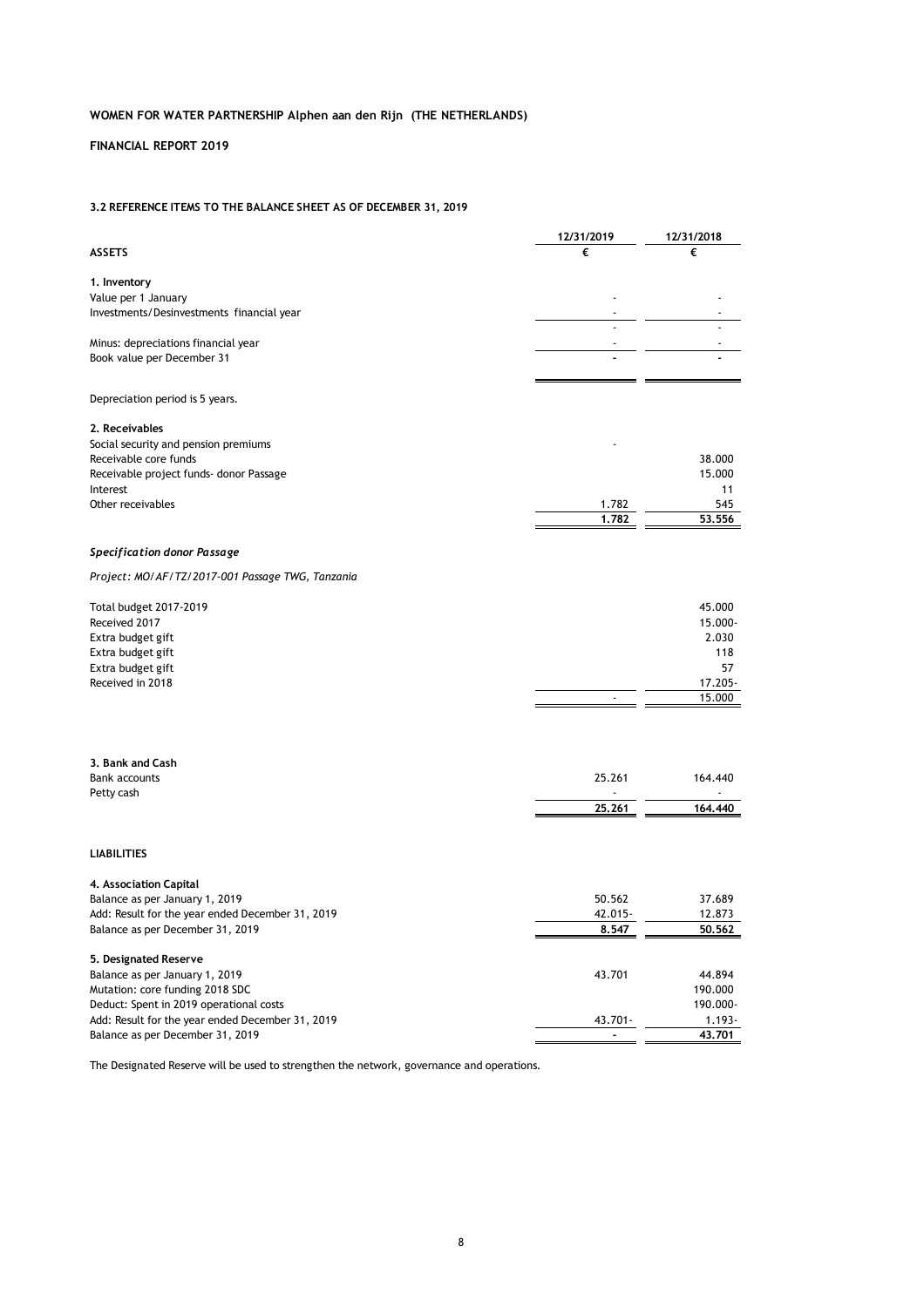## **FINANCIAL REPORT 2019**

## **3.2 REFERENCE ITEMS TO THE BALANCE SHEET AS OF DECEMBER 31, 2019**

|                                                  | 12/31/2019 | 12/31/2018 |
|--------------------------------------------------|------------|------------|
| <b>ASSETS</b>                                    | €          | €          |
|                                                  |            |            |
| 1. Inventory                                     |            |            |
| Value per 1 January                              |            |            |
| Investments/Desinvestments financial year        |            |            |
|                                                  |            |            |
| Minus: depreciations financial year              |            |            |
| Book value per December 31                       |            |            |
|                                                  |            |            |
|                                                  |            |            |
| Depreciation period is 5 years.                  |            |            |
|                                                  |            |            |
| 2. Receivables                                   |            |            |
| Social security and pension premiums             |            |            |
| Receivable core funds                            |            | 38.000     |
| Receivable project funds- donor Passage          |            | 15.000     |
| Interest                                         |            | 11         |
| Other receivables                                | 1.782      | 545        |
|                                                  | 1.782      | 53,556     |
|                                                  |            |            |
| Specification donor Passage                      |            |            |
|                                                  |            |            |
| Project: MO/AF/TZ/2017-001 Passage TWG, Tanzania |            |            |
|                                                  |            |            |
| Total budget 2017-2019                           |            | 45.000     |
| Received 2017                                    |            | 15.000-    |
| Extra budget gift                                |            | 2.030      |
| Extra budget gift                                |            | 118        |
| Extra budget gift                                |            | 57         |
| Received in 2018                                 |            | 17.205-    |
|                                                  |            | 15.000     |
|                                                  |            |            |
|                                                  |            |            |
|                                                  |            |            |
| 3. Bank and Cash                                 |            |            |
| <b>Bank accounts</b>                             | 25.261     | 164.440    |
| Petty cash                                       |            |            |
|                                                  | 25,261     | 164,440    |
|                                                  |            |            |
|                                                  |            |            |
| <b>LIABILITIES</b>                               |            |            |
|                                                  |            |            |
| 4. Association Capital                           |            |            |
| Balance as per January 1, 2019                   | 50.562     | 37.689     |
| Add: Result for the year ended December 31, 2019 | 42.015-    | 12.873     |
| Balance as per December 31, 2019                 | 8.547      | 50,562     |
|                                                  |            |            |
| 5. Designated Reserve                            |            |            |
| Balance as per January 1, 2019                   | 43.701     | 44.894     |
| Mutation: core funding 2018 SDC                  |            | 190.000    |
| Deduct: Spent in 2019 operational costs          |            | 190.000-   |
| Add: Result for the year ended December 31, 2019 | 43.701-    | $1.193 -$  |
| Balance as per December 31, 2019                 |            | 43.701     |

The Designated Reserve will be used to strengthen the network, governance and operations.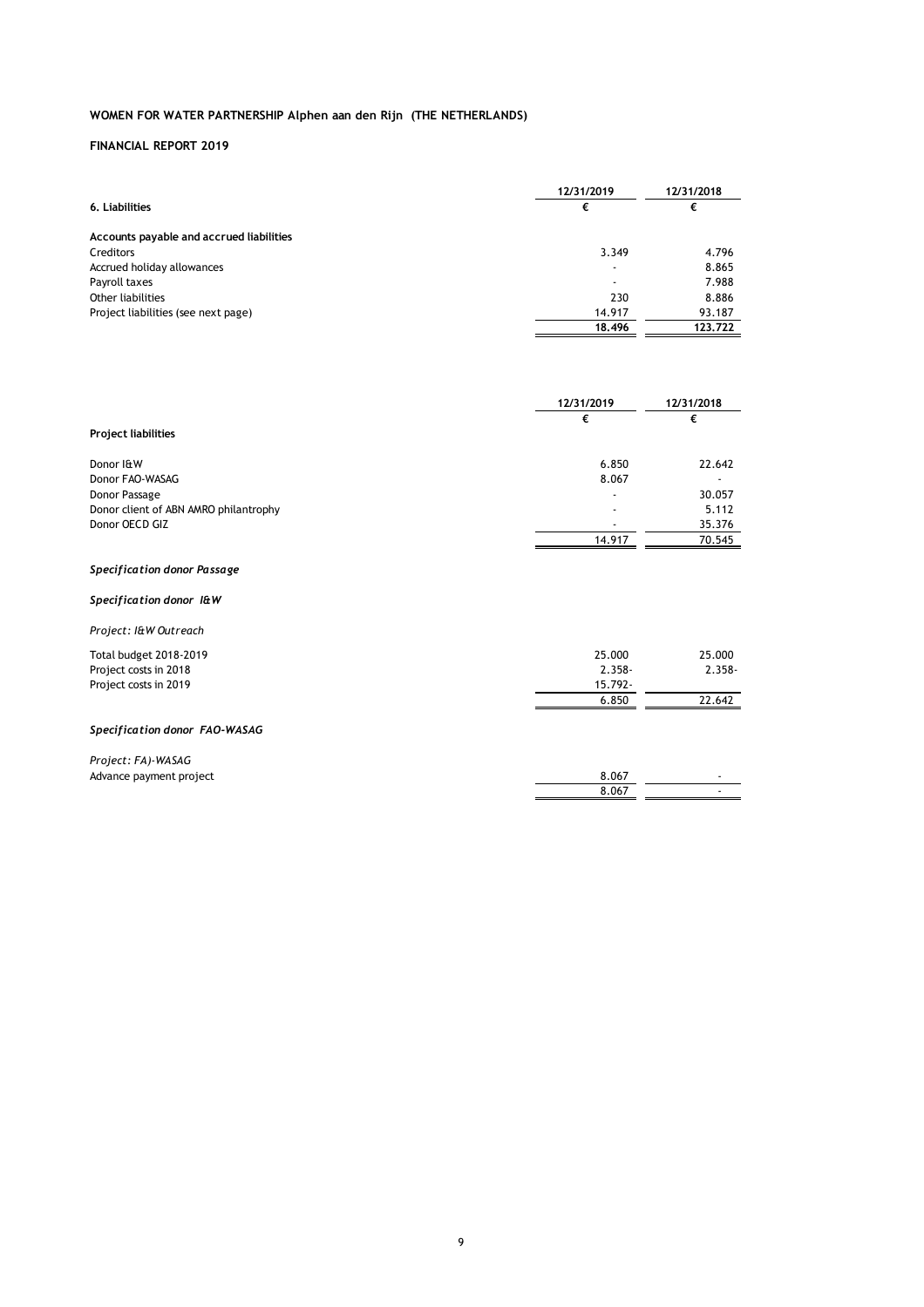|                                          | 12/31/2019               | 12/31/2018 |
|------------------------------------------|--------------------------|------------|
| 6. Liabilities                           | €                        | €          |
| Accounts payable and accrued liabilities |                          |            |
| Creditors                                | 3.349                    | 4.796      |
| Accrued holiday allowances               | $\overline{\phantom{0}}$ | 8.865      |
| Payroll taxes                            | $\overline{\phantom{a}}$ | 7.988      |
| Other liabilities                        | 230                      | 8.886      |
| Project liabilities (see next page)      | 14.917                   | 93.187     |
|                                          | 18.496                   | 123.722    |
|                                          |                          |            |

|                                       | 12/31/2019 | 12/31/2018 |
|---------------------------------------|------------|------------|
|                                       | €          | €          |
| <b>Project liabilities</b>            |            |            |
| Donor I&W                             | 6.850      | 22.642     |
| Donor FAO-WASAG                       | 8.067      |            |
| Donor Passage                         |            | 30.057     |
| Donor client of ABN AMRO philantrophy |            | 5.112      |
| Donor OECD GIZ                        |            | 35.376     |
|                                       | 14.917     | 70.545     |
| Specification donor Passage           |            |            |
| Specification donor I&W               |            |            |
| Project: I&W Outreach                 |            |            |
| Total budget 2018-2019                | 25.000     | 25.000     |
| Project costs in 2018                 | $2.358 -$  | $2.358 -$  |
| Project costs in 2019                 | 15.792-    |            |
|                                       | 6.850      | 22.642     |
| Specification donor FAO-WASAG         |            |            |
| Project: FA)-WASAG                    |            |            |
| Advance payment project               | 8.067      |            |
|                                       | 8.067      |            |
|                                       |            |            |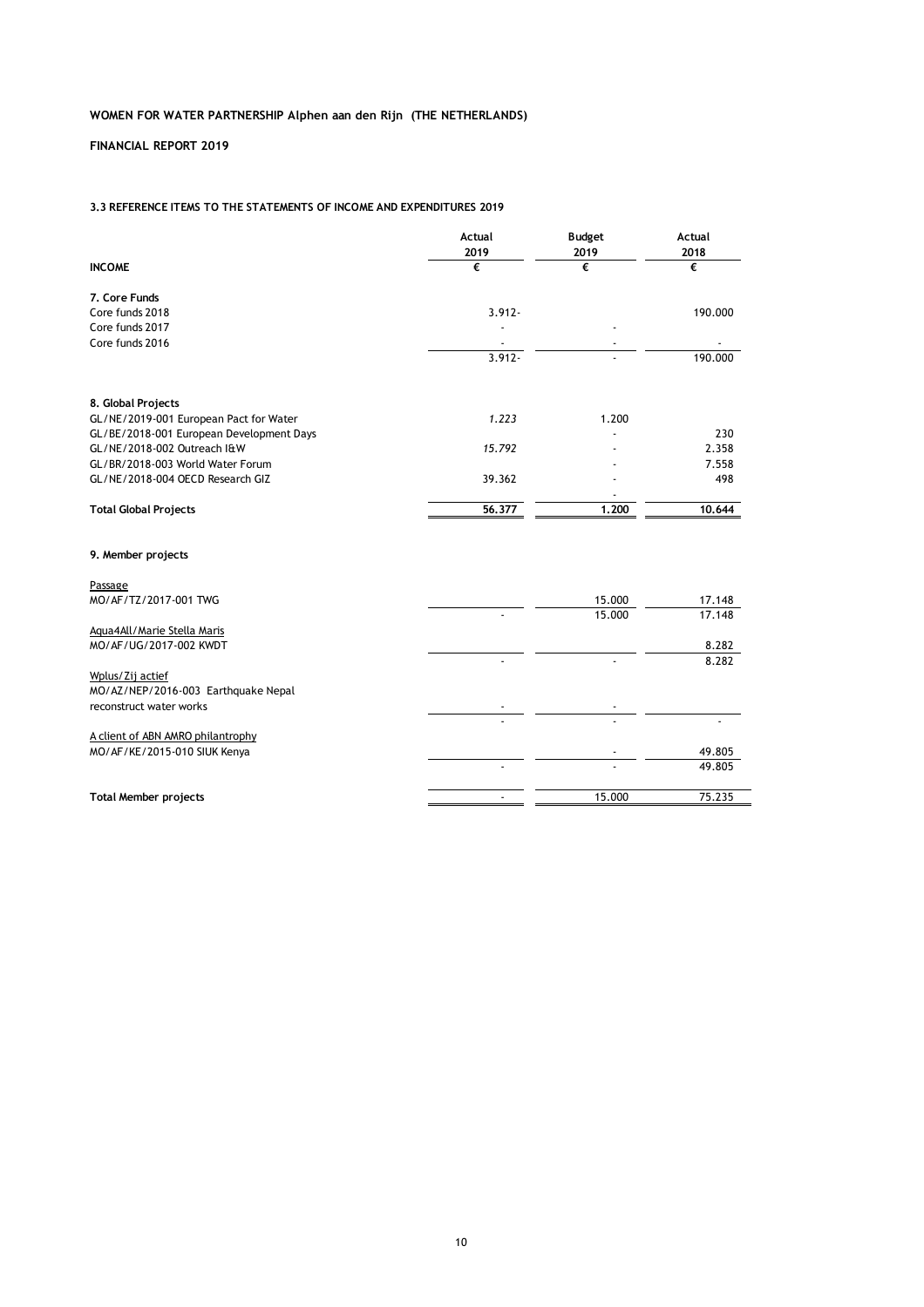**FINANCIAL REPORT 2019**

### **3.3 REFERENCE ITEMS TO THE STATEMENTS OF INCOME AND EXPENDITURES 2019**

|                                          | Actual<br>2019 | <b>Budget</b><br>2019 | Actual<br>2018 |
|------------------------------------------|----------------|-----------------------|----------------|
| <b>INCOME</b>                            | €              | €                     | €              |
| 7. Core Funds                            |                |                       |                |
| Core funds 2018                          | $3.912 -$      |                       | 190.000        |
| Core funds 2017                          |                |                       |                |
| Core funds 2016                          |                |                       |                |
|                                          | $3.912 -$      |                       | 190.000        |
| 8. Global Projects                       |                |                       |                |
| GL/NE/2019-001 European Pact for Water   | 1.223          | 1.200                 |                |
| GL/BE/2018-001 European Development Days |                |                       | 230            |
| GL/NE/2018-002 Outreach I&W              | 15.792         |                       | 2.358          |
| GL/BR/2018-003 World Water Forum         |                |                       | 7.558          |
| GL/NE/2018-004 OECD Research GIZ         | 39.362         |                       | 498            |
| <b>Total Global Projects</b>             | 56.377         | 1.200                 | 10.644         |
| 9. Member projects                       |                |                       |                |
| Passage                                  |                |                       |                |
| MO/AF/TZ/2017-001 TWG                    |                | 15.000                | 17.148         |
|                                          |                | 15.000                | 17.148         |
| Agua4All/Marie Stella Maris              |                |                       |                |
| MO/AF/UG/2017-002 KWDT                   |                |                       | 8.282          |
|                                          |                |                       | 8.282          |
| Wplus/Zij actief                         |                |                       |                |
| MO/AZ/NEP/2016-003 Earthquake Nepal      |                |                       |                |
| reconstruct water works                  |                |                       |                |
| A client of ABN AMRO philantrophy        |                |                       |                |
| MO/ AF/KE/2015-010 SIUK Kenya            |                |                       | 49.805         |
|                                          |                |                       | 49.805         |
| <b>Total Member projects</b>             | $\overline{a}$ | 15.000                | 75.235         |
|                                          |                |                       |                |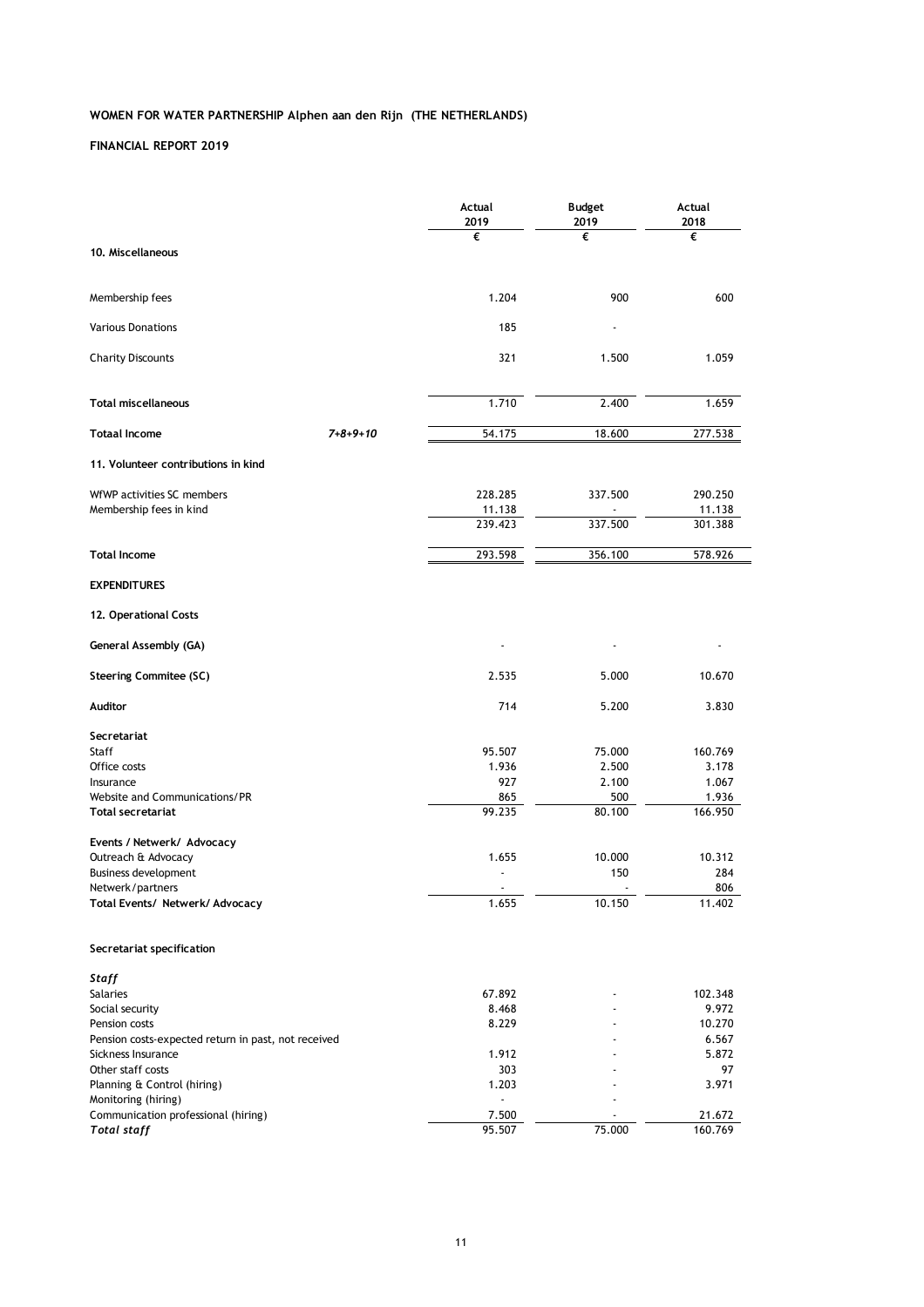|                                                     |                  | Actual<br>2019           | <b>Budget</b><br>2019 | Actual<br>2018 |
|-----------------------------------------------------|------------------|--------------------------|-----------------------|----------------|
|                                                     |                  | €                        | €                     | €              |
| 10. Miscellaneous                                   |                  |                          |                       |                |
| Membership fees                                     |                  | 1.204                    | 900                   | 600            |
| <b>Various Donations</b>                            |                  | 185                      |                       |                |
| <b>Charity Discounts</b>                            |                  | 321                      | 1.500                 | 1.059          |
| <b>Total miscellaneous</b>                          |                  | 1.710                    | 2.400                 | 1.659          |
| <b>Totaal Income</b>                                | $7 + 8 + 9 + 10$ | 54.175                   | 18.600                | 277.538        |
| 11. Volunteer contributions in kind                 |                  |                          |                       |                |
| WfWP activities SC members                          |                  | 228.285                  | 337.500               | 290.250        |
| Membership fees in kind                             |                  | 11.138                   |                       | 11.138         |
|                                                     |                  | 239.423                  | 337.500               | 301.388        |
| <b>Total Income</b>                                 |                  | 293.598                  | 356.100               | 578.926        |
| <b>EXPENDITURES</b>                                 |                  |                          |                       |                |
| 12. Operational Costs                               |                  |                          |                       |                |
| <b>General Assembly (GA)</b>                        |                  |                          |                       |                |
| <b>Steering Commitee (SC)</b>                       |                  | 2.535                    | 5.000                 | 10.670         |
| Auditor                                             |                  | 714                      | 5.200                 | 3.830          |
| Secretariat                                         |                  |                          |                       |                |
| Staff                                               |                  | 95.507                   | 75.000                | 160.769        |
| Office costs                                        |                  | 1.936                    | 2.500                 | 3.178          |
| Insurance                                           |                  | 927                      | 2.100                 | 1.067          |
| Website and Communications/PR                       |                  | 865                      | 500                   | 1.936          |
| Total secretariat                                   |                  | 99.235                   | 80.100                | 166.950        |
| Events / Netwerk/ Advocacy                          |                  |                          |                       |                |
| Outreach & Advocacy                                 |                  | 1.655                    | 10.000                | 10.312         |
| <b>Business development</b>                         |                  |                          | 150                   | 284            |
| Netwerk/partners                                    |                  | $\overline{\phantom{a}}$ |                       | 806            |
| Total Events/ Netwerk/ Advocacy                     |                  | 1.655                    | 10.150                | 11.402         |
| Secretariat specification                           |                  |                          |                       |                |
| Staff                                               |                  |                          |                       |                |
| Salaries                                            |                  | 67.892                   |                       | 102.348        |
| Social security                                     |                  | 8.468                    |                       | 9.972          |
| Pension costs                                       |                  | 8.229                    |                       | 10.270         |
| Pension costs-expected return in past, not received |                  |                          |                       | 6.567          |
| Sickness Insurance                                  |                  | 1.912                    |                       | 5.872          |
| Other staff costs                                   |                  | 303                      |                       | 97             |
| Planning & Control (hiring)                         |                  | 1.203                    |                       | 3.971          |
| Monitoring (hiring)                                 |                  |                          |                       |                |
| Communication professional (hiring)                 |                  | 7.500                    |                       | 21.672         |
| <b>Total staff</b>                                  |                  | 95.507                   | 75.000                | 160.769        |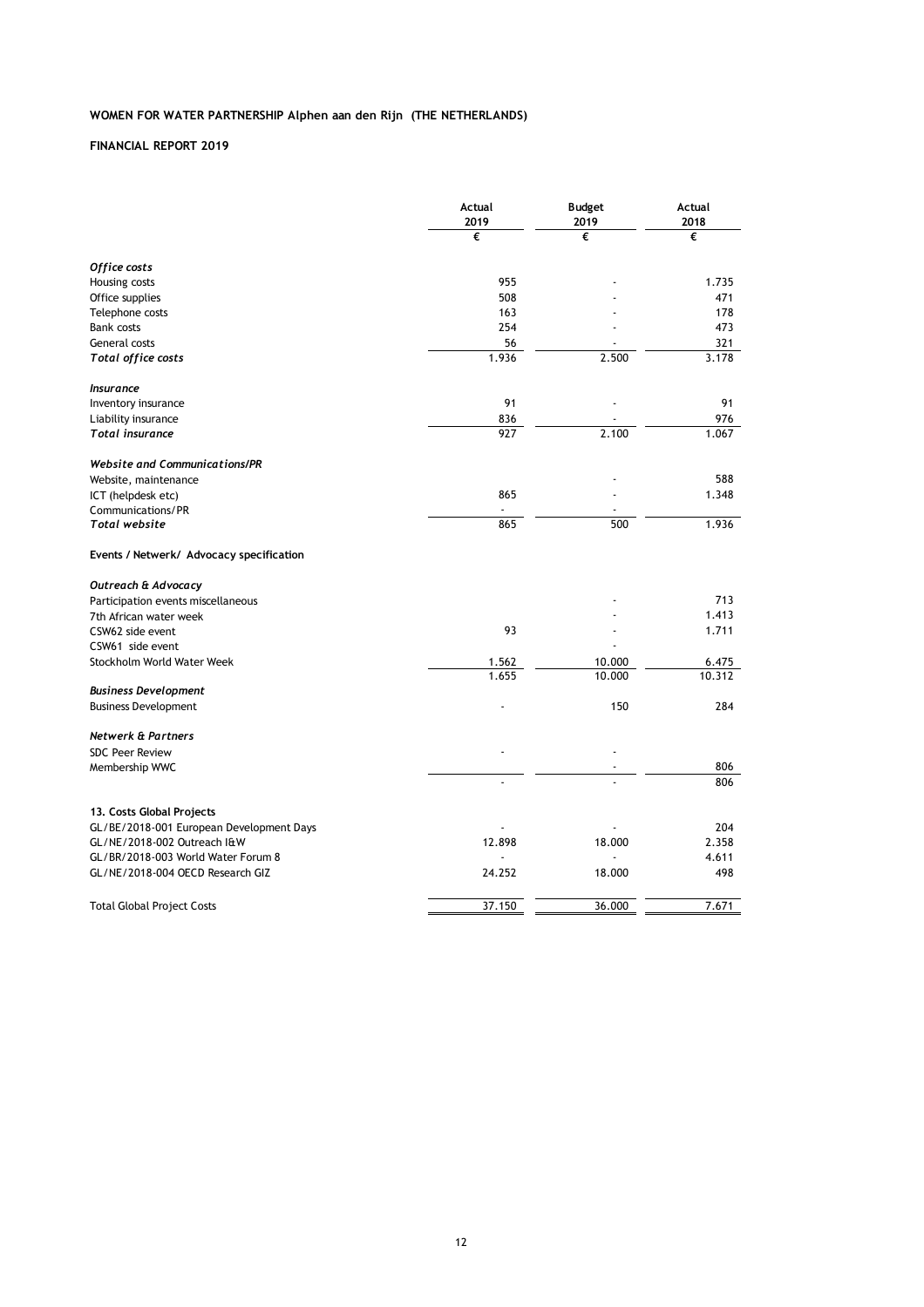| €<br>€<br>€<br>Office costs<br>955<br>1.735<br>Housing costs<br>508<br>Office supplies<br>471<br>178<br>Telephone costs<br>163<br>254<br><b>Bank costs</b><br>473<br>56<br>General costs<br>321<br>1.936<br>2.500<br>3.178<br><b>Total office costs</b><br><b>Insurance</b><br>91<br>91<br>Inventory insurance<br>836<br>976<br>Liability insurance<br>927<br>2.100<br>1.067<br>Total insurance<br><b>Website and Communications/PR</b><br>588<br>Website, maintenance<br>865<br>1.348<br>ICT (helpdesk etc)<br>Communications/PR<br>1.936<br>865<br>500<br>Total website<br>Events / Netwerk/ Advocacy specification<br>Outreach & Advocacy<br>713<br>Participation events miscellaneous<br>1.413<br>7th African water week<br>93<br>1.711<br>CSW62 side event<br>CSW61 side event<br>Stockholm World Water Week<br>1.562<br>10.000<br>6.475<br>1.655<br>10.000<br>10.312<br><b>Business Development</b><br>150<br>284<br><b>Business Development</b><br><b>Netwerk &amp; Partners</b><br><b>SDC Peer Review</b><br>806<br>Membership WWC<br>806<br>13. Costs Global Projects<br>GL/BE/2018-001 European Development Days<br>204<br>GL/NE/2018-002 Outreach I&W<br>12.898<br>18.000<br>2.358<br>GL/BR/2018-003 World Water Forum 8<br>4.611<br>24.252<br>GL/NE/2018-004 OECD Research GIZ<br>18.000<br>498<br>7.671<br>37.150<br>36.000<br><b>Total Global Project Costs</b> | Actual<br>2019 | <b>Budget</b><br>2019 | Actual<br>2018 |
|-------------------------------------------------------------------------------------------------------------------------------------------------------------------------------------------------------------------------------------------------------------------------------------------------------------------------------------------------------------------------------------------------------------------------------------------------------------------------------------------------------------------------------------------------------------------------------------------------------------------------------------------------------------------------------------------------------------------------------------------------------------------------------------------------------------------------------------------------------------------------------------------------------------------------------------------------------------------------------------------------------------------------------------------------------------------------------------------------------------------------------------------------------------------------------------------------------------------------------------------------------------------------------------------------------------------------------------------------------------------------------|----------------|-----------------------|----------------|
|                                                                                                                                                                                                                                                                                                                                                                                                                                                                                                                                                                                                                                                                                                                                                                                                                                                                                                                                                                                                                                                                                                                                                                                                                                                                                                                                                                               |                |                       |                |
|                                                                                                                                                                                                                                                                                                                                                                                                                                                                                                                                                                                                                                                                                                                                                                                                                                                                                                                                                                                                                                                                                                                                                                                                                                                                                                                                                                               |                |                       |                |
|                                                                                                                                                                                                                                                                                                                                                                                                                                                                                                                                                                                                                                                                                                                                                                                                                                                                                                                                                                                                                                                                                                                                                                                                                                                                                                                                                                               |                |                       |                |
|                                                                                                                                                                                                                                                                                                                                                                                                                                                                                                                                                                                                                                                                                                                                                                                                                                                                                                                                                                                                                                                                                                                                                                                                                                                                                                                                                                               |                |                       |                |
|                                                                                                                                                                                                                                                                                                                                                                                                                                                                                                                                                                                                                                                                                                                                                                                                                                                                                                                                                                                                                                                                                                                                                                                                                                                                                                                                                                               |                |                       |                |
|                                                                                                                                                                                                                                                                                                                                                                                                                                                                                                                                                                                                                                                                                                                                                                                                                                                                                                                                                                                                                                                                                                                                                                                                                                                                                                                                                                               |                |                       |                |
|                                                                                                                                                                                                                                                                                                                                                                                                                                                                                                                                                                                                                                                                                                                                                                                                                                                                                                                                                                                                                                                                                                                                                                                                                                                                                                                                                                               |                |                       |                |
|                                                                                                                                                                                                                                                                                                                                                                                                                                                                                                                                                                                                                                                                                                                                                                                                                                                                                                                                                                                                                                                                                                                                                                                                                                                                                                                                                                               |                |                       |                |
|                                                                                                                                                                                                                                                                                                                                                                                                                                                                                                                                                                                                                                                                                                                                                                                                                                                                                                                                                                                                                                                                                                                                                                                                                                                                                                                                                                               |                |                       |                |
|                                                                                                                                                                                                                                                                                                                                                                                                                                                                                                                                                                                                                                                                                                                                                                                                                                                                                                                                                                                                                                                                                                                                                                                                                                                                                                                                                                               |                |                       |                |
|                                                                                                                                                                                                                                                                                                                                                                                                                                                                                                                                                                                                                                                                                                                                                                                                                                                                                                                                                                                                                                                                                                                                                                                                                                                                                                                                                                               |                |                       |                |
|                                                                                                                                                                                                                                                                                                                                                                                                                                                                                                                                                                                                                                                                                                                                                                                                                                                                                                                                                                                                                                                                                                                                                                                                                                                                                                                                                                               |                |                       |                |
|                                                                                                                                                                                                                                                                                                                                                                                                                                                                                                                                                                                                                                                                                                                                                                                                                                                                                                                                                                                                                                                                                                                                                                                                                                                                                                                                                                               |                |                       |                |
|                                                                                                                                                                                                                                                                                                                                                                                                                                                                                                                                                                                                                                                                                                                                                                                                                                                                                                                                                                                                                                                                                                                                                                                                                                                                                                                                                                               |                |                       |                |
|                                                                                                                                                                                                                                                                                                                                                                                                                                                                                                                                                                                                                                                                                                                                                                                                                                                                                                                                                                                                                                                                                                                                                                                                                                                                                                                                                                               |                |                       |                |
|                                                                                                                                                                                                                                                                                                                                                                                                                                                                                                                                                                                                                                                                                                                                                                                                                                                                                                                                                                                                                                                                                                                                                                                                                                                                                                                                                                               |                |                       |                |
|                                                                                                                                                                                                                                                                                                                                                                                                                                                                                                                                                                                                                                                                                                                                                                                                                                                                                                                                                                                                                                                                                                                                                                                                                                                                                                                                                                               |                |                       |                |
|                                                                                                                                                                                                                                                                                                                                                                                                                                                                                                                                                                                                                                                                                                                                                                                                                                                                                                                                                                                                                                                                                                                                                                                                                                                                                                                                                                               |                |                       |                |
|                                                                                                                                                                                                                                                                                                                                                                                                                                                                                                                                                                                                                                                                                                                                                                                                                                                                                                                                                                                                                                                                                                                                                                                                                                                                                                                                                                               |                |                       |                |
|                                                                                                                                                                                                                                                                                                                                                                                                                                                                                                                                                                                                                                                                                                                                                                                                                                                                                                                                                                                                                                                                                                                                                                                                                                                                                                                                                                               |                |                       |                |
|                                                                                                                                                                                                                                                                                                                                                                                                                                                                                                                                                                                                                                                                                                                                                                                                                                                                                                                                                                                                                                                                                                                                                                                                                                                                                                                                                                               |                |                       |                |
|                                                                                                                                                                                                                                                                                                                                                                                                                                                                                                                                                                                                                                                                                                                                                                                                                                                                                                                                                                                                                                                                                                                                                                                                                                                                                                                                                                               |                |                       |                |
|                                                                                                                                                                                                                                                                                                                                                                                                                                                                                                                                                                                                                                                                                                                                                                                                                                                                                                                                                                                                                                                                                                                                                                                                                                                                                                                                                                               |                |                       |                |
|                                                                                                                                                                                                                                                                                                                                                                                                                                                                                                                                                                                                                                                                                                                                                                                                                                                                                                                                                                                                                                                                                                                                                                                                                                                                                                                                                                               |                |                       |                |
|                                                                                                                                                                                                                                                                                                                                                                                                                                                                                                                                                                                                                                                                                                                                                                                                                                                                                                                                                                                                                                                                                                                                                                                                                                                                                                                                                                               |                |                       |                |
|                                                                                                                                                                                                                                                                                                                                                                                                                                                                                                                                                                                                                                                                                                                                                                                                                                                                                                                                                                                                                                                                                                                                                                                                                                                                                                                                                                               |                |                       |                |
|                                                                                                                                                                                                                                                                                                                                                                                                                                                                                                                                                                                                                                                                                                                                                                                                                                                                                                                                                                                                                                                                                                                                                                                                                                                                                                                                                                               |                |                       |                |
|                                                                                                                                                                                                                                                                                                                                                                                                                                                                                                                                                                                                                                                                                                                                                                                                                                                                                                                                                                                                                                                                                                                                                                                                                                                                                                                                                                               |                |                       |                |
|                                                                                                                                                                                                                                                                                                                                                                                                                                                                                                                                                                                                                                                                                                                                                                                                                                                                                                                                                                                                                                                                                                                                                                                                                                                                                                                                                                               |                |                       |                |
|                                                                                                                                                                                                                                                                                                                                                                                                                                                                                                                                                                                                                                                                                                                                                                                                                                                                                                                                                                                                                                                                                                                                                                                                                                                                                                                                                                               |                |                       |                |
|                                                                                                                                                                                                                                                                                                                                                                                                                                                                                                                                                                                                                                                                                                                                                                                                                                                                                                                                                                                                                                                                                                                                                                                                                                                                                                                                                                               |                |                       |                |
|                                                                                                                                                                                                                                                                                                                                                                                                                                                                                                                                                                                                                                                                                                                                                                                                                                                                                                                                                                                                                                                                                                                                                                                                                                                                                                                                                                               |                |                       |                |
|                                                                                                                                                                                                                                                                                                                                                                                                                                                                                                                                                                                                                                                                                                                                                                                                                                                                                                                                                                                                                                                                                                                                                                                                                                                                                                                                                                               |                |                       |                |
|                                                                                                                                                                                                                                                                                                                                                                                                                                                                                                                                                                                                                                                                                                                                                                                                                                                                                                                                                                                                                                                                                                                                                                                                                                                                                                                                                                               |                |                       |                |
|                                                                                                                                                                                                                                                                                                                                                                                                                                                                                                                                                                                                                                                                                                                                                                                                                                                                                                                                                                                                                                                                                                                                                                                                                                                                                                                                                                               |                |                       |                |
|                                                                                                                                                                                                                                                                                                                                                                                                                                                                                                                                                                                                                                                                                                                                                                                                                                                                                                                                                                                                                                                                                                                                                                                                                                                                                                                                                                               |                |                       |                |
|                                                                                                                                                                                                                                                                                                                                                                                                                                                                                                                                                                                                                                                                                                                                                                                                                                                                                                                                                                                                                                                                                                                                                                                                                                                                                                                                                                               |                |                       |                |
|                                                                                                                                                                                                                                                                                                                                                                                                                                                                                                                                                                                                                                                                                                                                                                                                                                                                                                                                                                                                                                                                                                                                                                                                                                                                                                                                                                               |                |                       |                |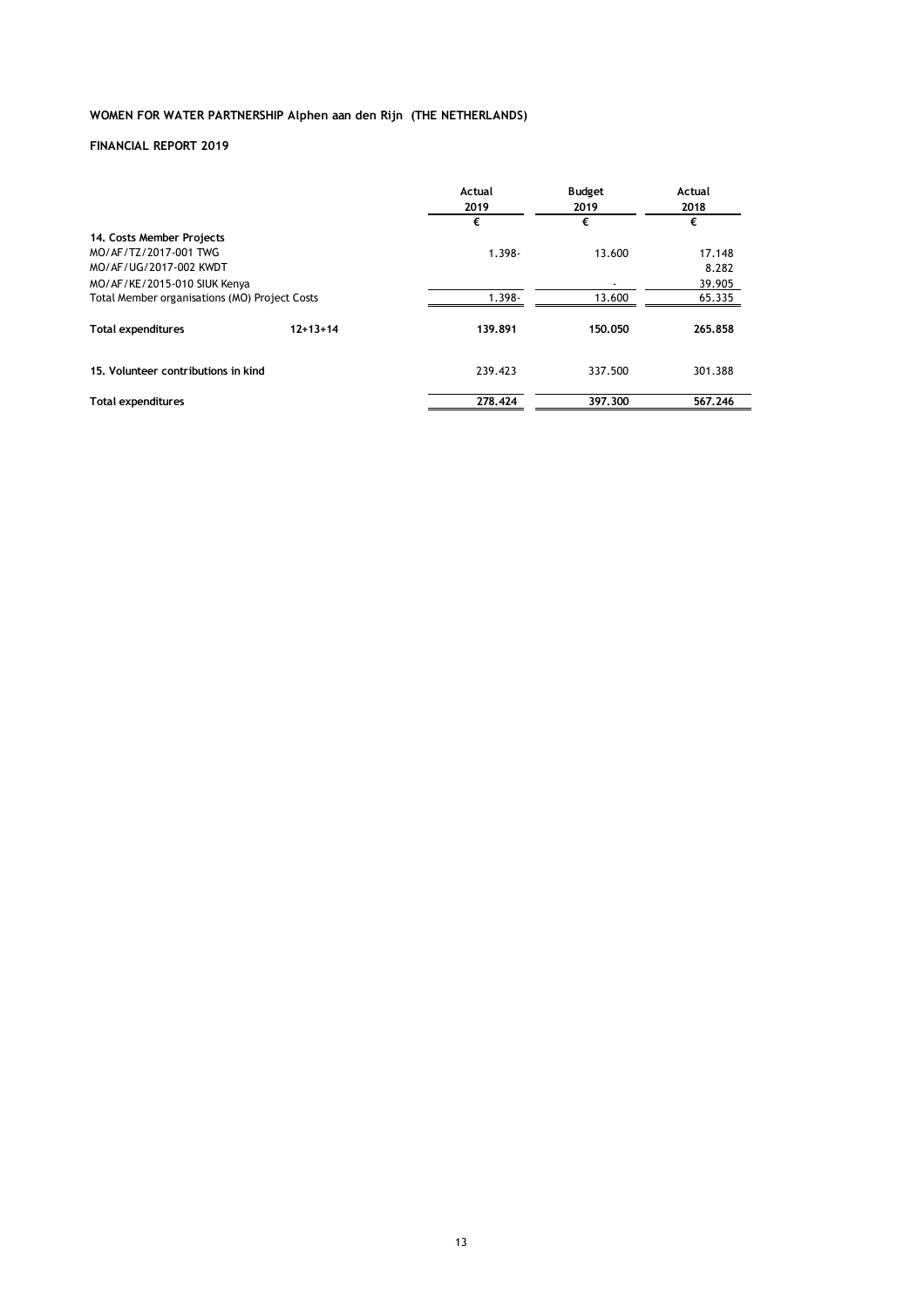|                                                 |            | Actual<br>2019 | <b>Budget</b><br>2019 | Actual<br>2018 |
|-------------------------------------------------|------------|----------------|-----------------------|----------------|
|                                                 |            | €              | €                     | €              |
| 14. Costs Member Projects                       |            |                |                       |                |
| MO/AF/TZ/2017-001 TWG<br>MO/AF/UG/2017-002 KWDT |            | $1.398 -$      | 13.600                | 17.148         |
|                                                 |            |                |                       | 8.282          |
| MO/AF/KE/2015-010 SIUK Kenya                    |            |                |                       | 39.905         |
| Total Member organisations (MO) Project Costs   |            | $1.398 -$      | 13.600                | 65.335         |
| <b>Total expenditures</b>                       | $12+13+14$ | 139.891        | 150.050               | 265.858        |
| 15. Volunteer contributions in kind             |            | 239.423        | 337.500               | 301.388        |
| <b>Total expenditures</b>                       |            | 278.424        | 397.300               | 567.246        |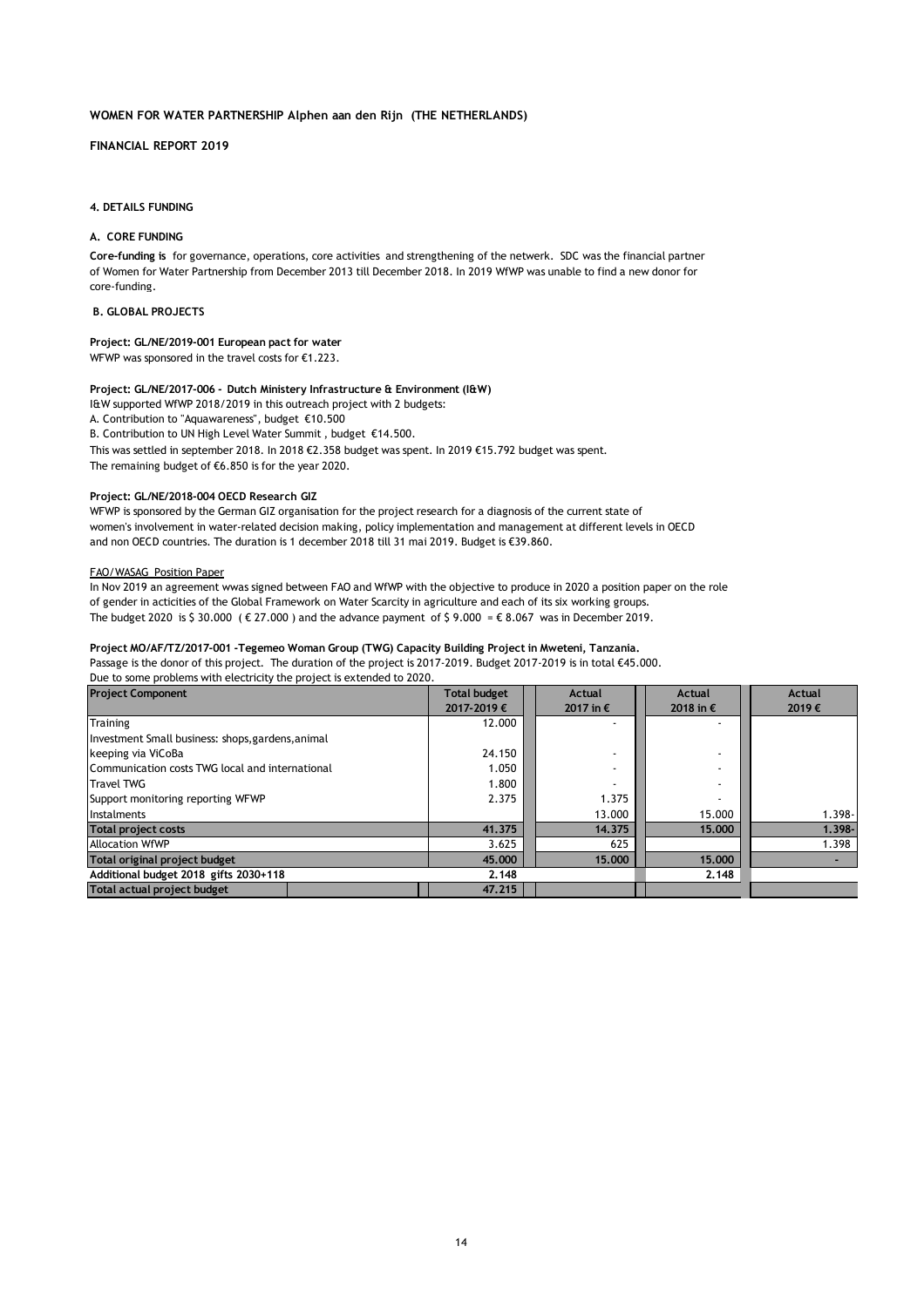### **FINANCIAL REPORT 2019**

#### **4. DETAILS FUNDING**

### **A. CORE FUNDING**

of Women for Water Partnership from December 2013 till December 2018. In 2019 WfWP was unable to find a new donor for core-funding. **Core-funding is** for governance, operations, core activities and strengthening of the netwerk. SDC was the financial partner

#### **B. GLOBAL PROJECTS**

#### **Project: GL/NE/2019-001 European pact for water**

WFWP was sponsored in the travel costs for €1.223.

### **Project: GL/NE/2017-006** *-* **Dutch Ministery Infrastructure & Environment (I&W)**

I&W supported WfWP 2018/2019 in this outreach project with 2 budgets:

A. Contribution to "Aquawareness", budget €10.500

B. Contribution to UN High Level Water Summit , budget €14.500.

This was settled in september 2018. In 2018 €2.358 budget was spent. In 2019 €15.792 budget was spent.

The remaining budget of €6.850 is for the year 2020.

#### **Project: GL/NE/2018-004 OECD Research GIZ**

WFWP is sponsored by the German GIZ organisation for the project research for a diagnosis of the current state of women's involvement in water-related decision making, policy implementation and management at different levels in OECD and non OECD countries. The duration is 1 december 2018 till 31 mai 2019. Budget is €39.860.

### FAO/WASAG Position Paper

In Nov 2019 an agreement wwas signed between FAO and WfWP with the objective to produce in 2020 a position paper on the role of gender in acticities of the Global Framework on Water Scarcity in agriculture and each of its six working groups. The budget 2020 is \$ 30.000 ( $\epsilon$  27.000) and the advance payment of \$ 9.000 =  $\epsilon$  8.067 was in December 2019.

### **Project MO/AF/TZ/2017-001 -Tegemeo Woman Group (TWG) Capacity Building Project in Mweteni, Tanzania.**

Passage is the donor of this project. The duration of the project is 2017-2019. Budget 2017-2019 is in total €45.000. Due to some problems with electricity the project is extended to 2020.

| <b>Project Component</b>                          | <b>Total budget</b> | Actual    | Actual             | Actual    |
|---------------------------------------------------|---------------------|-----------|--------------------|-----------|
|                                                   | 2017-2019€          | 2017 in € | 2018 in $\epsilon$ | 2019€     |
| Training                                          | 12.000              |           |                    |           |
| Investment Small business: shops, gardens, animal |                     |           |                    |           |
| keeping via ViCoBa                                | 24.150              |           |                    |           |
| Communication costs TWG local and international   | 1.050               |           |                    |           |
| <b>Travel TWG</b>                                 | 1.800               |           |                    |           |
| Support monitoring reporting WFWP                 | 2.375               | 1.375     |                    |           |
| Instalments                                       |                     | 13.000    | 15.000             | $1.398 -$ |
| <b>Total project costs</b>                        | 41.375              | 14.375    | 15,000             | $1.398 -$ |
| <b>Allocation WfWP</b>                            | 3.625               | 625       |                    | 1.398     |
| Total original project budget                     | 45,000              | 15,000    | 15,000             |           |
| Additional budget 2018 gifts 2030+118             | 2.148               |           | 2.148              |           |
| Total actual project budget                       | 47.215              |           |                    |           |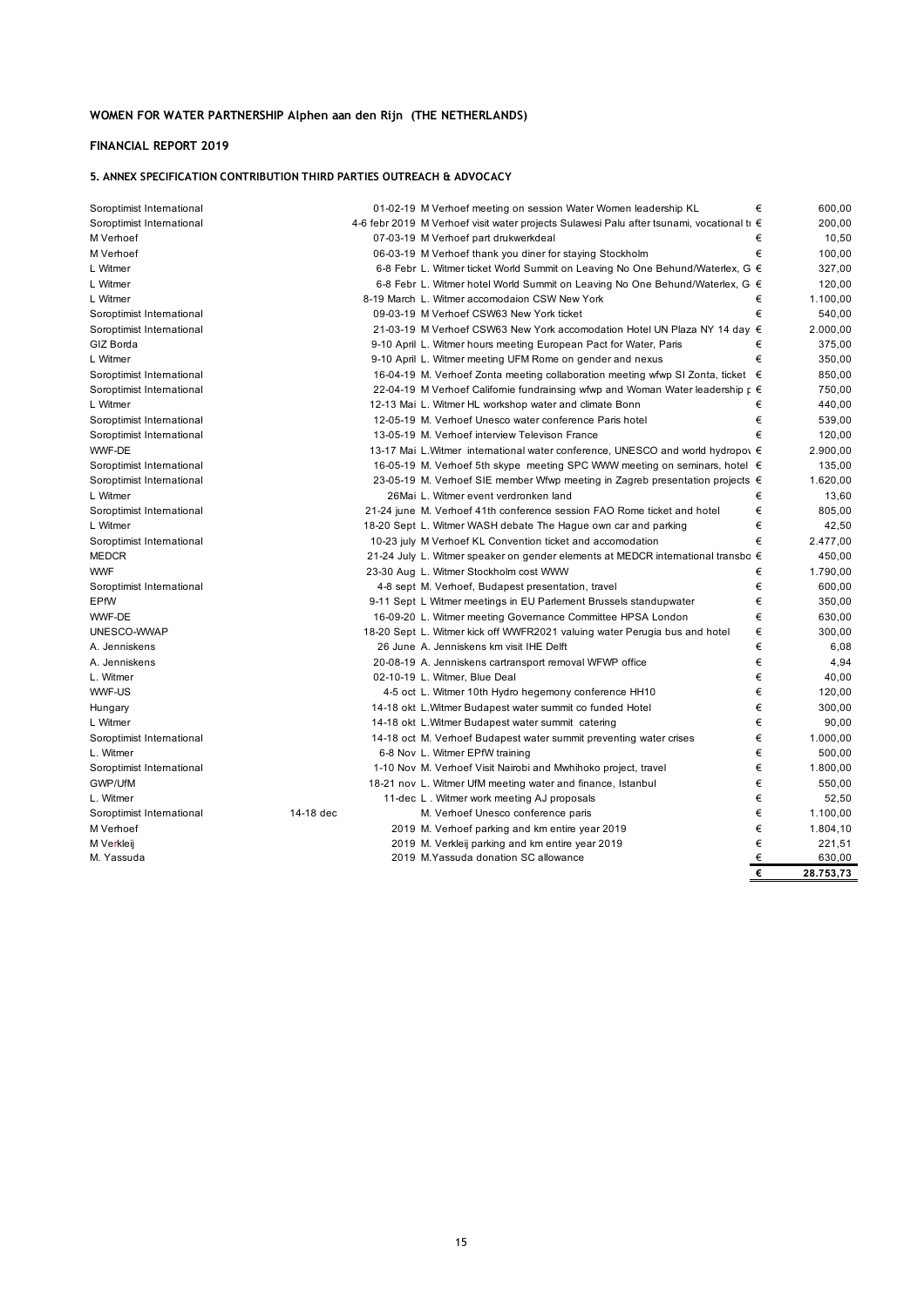## **FINANCIAL REPORT 2019**

## **5. ANNEX SPECIFICATION CONTRIBUTION THIRD PARTIES OUTREACH & ADVOCACY**

| Soroptimist International | 01-02-19 M Verhoef meeting on session Water Women leadership KL                               | € | 600,00    |
|---------------------------|-----------------------------------------------------------------------------------------------|---|-----------|
| Soroptimist International | 4-6 febr 2019 M Verhoef visit water projects Sulawesi Palu after tsunami, vocational ti €     |   | 200,00    |
| M Verhoef                 | 07-03-19 M Verhoef part drukwerkdeal                                                          | € | 10,50     |
| M Verhoef                 | 06-03-19 M Verhoef thank you diner for staying Stockholm                                      | € | 100,00    |
| L Witmer                  | 6-8 Febr L. Witmer ticket World Summit on Leaving No One Behund/Waterlex, G €                 |   | 327,00    |
| L Witmer                  | 6-8 Febr L. Witmer hotel World Summit on Leaving No One Behund/Waterlex, G €                  |   | 120,00    |
| L Witmer                  | 8-19 March L. Witmer accomodaion CSW New York                                                 | € | 1.100,00  |
| Soroptimist International | 09-03-19 M Verhoef CSW63 New York ticket                                                      | € | 540,00    |
| Soroptimist International | 21-03-19 M Verhoef CSW63 New York accomodation Hotel UN Plaza NY 14 day. €                    |   | 2.000,00  |
| GIZ Borda                 | 9-10 April L. Witmer hours meeting European Pact for Water, Paris                             | € | 375,00    |
| L Witmer                  | 9-10 April L. Witmer meeting UFM Rome on gender and nexus                                     | € | 350,00    |
| Soroptimist International | 16-04-19 M. Verhoef Zonta meeting collaboration meeting wfwp SI Zonta, ticket €               |   | 850,00    |
| Soroptimist International | 22-04-19 M Verhoef Californie fundrainsing wfwp and Woman Water leadership $\mathfrak{g} \in$ |   | 750,00    |
| L Witmer                  | 12-13 Mai L. Witmer HL workshop water and climate Bonn                                        | € | 440,00    |
| Soroptimist International | 12-05-19 M. Verhoef Unesco water conference Paris hotel                                       | € | 539,00    |
| Soroptimist International | 13-05-19 M. Verhoef interview Televison France                                                | € | 120,00    |
| WWF-DE                    | 13-17 Mai L. Witmer international water conference, UNESCO and world hydropov €               |   | 2.900,00  |
| Soroptimist International | 16-05-19 M. Verhoef 5th skype meeting SPC WWW meeting on seminars, hotel €                    |   | 135,00    |
| Soroptimist International | 23-05-19 M. Verhoef SIE member Wfwp meeting in Zagreb presentation projects €                 |   | 1.620,00  |
| L Witmer                  | 26Mai L. Witmer event verdronken land                                                         | € | 13,60     |
| Soroptimist International | 21-24 june M. Verhoef 41th conference session FAO Rome ticket and hotel                       | € | 805,00    |
| L Witmer                  | 18-20 Sept L. Witmer WASH debate The Hague own car and parking                                | € | 42,50     |
| Soroptimist International | 10-23 july M Verhoef KL Convention ticket and accomodation                                    | € | 2.477,00  |
| <b>MEDCR</b>              | 21-24 July L. Witmer speaker on gender elements at MEDCR international transbo €              |   | 450,00    |
| <b>WWF</b>                | 23-30 Aug L. Witmer Stockholm cost WWW                                                        | € | 1.790,00  |
| Soroptimist International | 4-8 sept M. Verhoef, Budapest presentation, travel                                            | € | 600,00    |
| EPfW                      | 9-11 Sept L Witmer meetings in EU Parlement Brussels standupwater                             | € | 350,00    |
| WWF-DE                    | 16-09-20 L. Witmer meeting Governance Committee HPSA London                                   | € | 630,00    |
| UNESCO-WWAP               | 18-20 Sept L. Witmer kick off WWFR2021 valuing water Perugia bus and hotel                    | € | 300,00    |
| A. Jenniskens             | 26 June A. Jenniskens km visit IHE Delft                                                      | € | 6,08      |
| A. Jenniskens             | 20-08-19 A. Jenniskens cartransport removal WFWP office                                       | € | 4,94      |
| L. Witmer                 | 02-10-19 L. Witmer, Blue Deal                                                                 | € | 40,00     |
| WWF-US                    | 4-5 oct L. Witmer 10th Hydro hegemony conference HH10                                         | € | 120,00    |
| Hungary                   | 14-18 okt L. Witmer Budapest water summit co funded Hotel                                     | € | 300,00    |
| L Witmer                  | 14-18 okt L. Witmer Budapest water summit catering                                            | € | 90,00     |
| Soroptimist International | 14-18 oct M. Verhoef Budapest water summit preventing water crises                            | € | 1.000,00  |
| L. Witmer                 | 6-8 Nov L. Witmer EPfW training                                                               | € | 500,00    |
| Soroptimist International | 1-10 Nov M. Verhoef Visit Nairobi and Mwhihoko project, travel                                | € | 1.800,00  |
| GWP/UfM                   | 18-21 nov L. Witmer UfM meeting water and finance, Istanbul                                   | € | 550,00    |
| L. Witmer                 | 11-dec L. Witmer work meeting AJ proposals                                                    | € | 52,50     |
| Soroptimist International | 14-18 dec<br>M. Verhoef Unesco conference paris                                               | € | 1.100,00  |
| M Verhoef                 | 2019 M. Verhoef parking and km entire year 2019                                               | € | 1.804,10  |
| M Verkleij                | 2019 M. Verkleij parking and km entire year 2019                                              | € | 221,51    |
| M. Yassuda                | 2019 M. Yassuda donation SC allowance                                                         | € | 630,00    |
|                           |                                                                                               | € | 28.753,73 |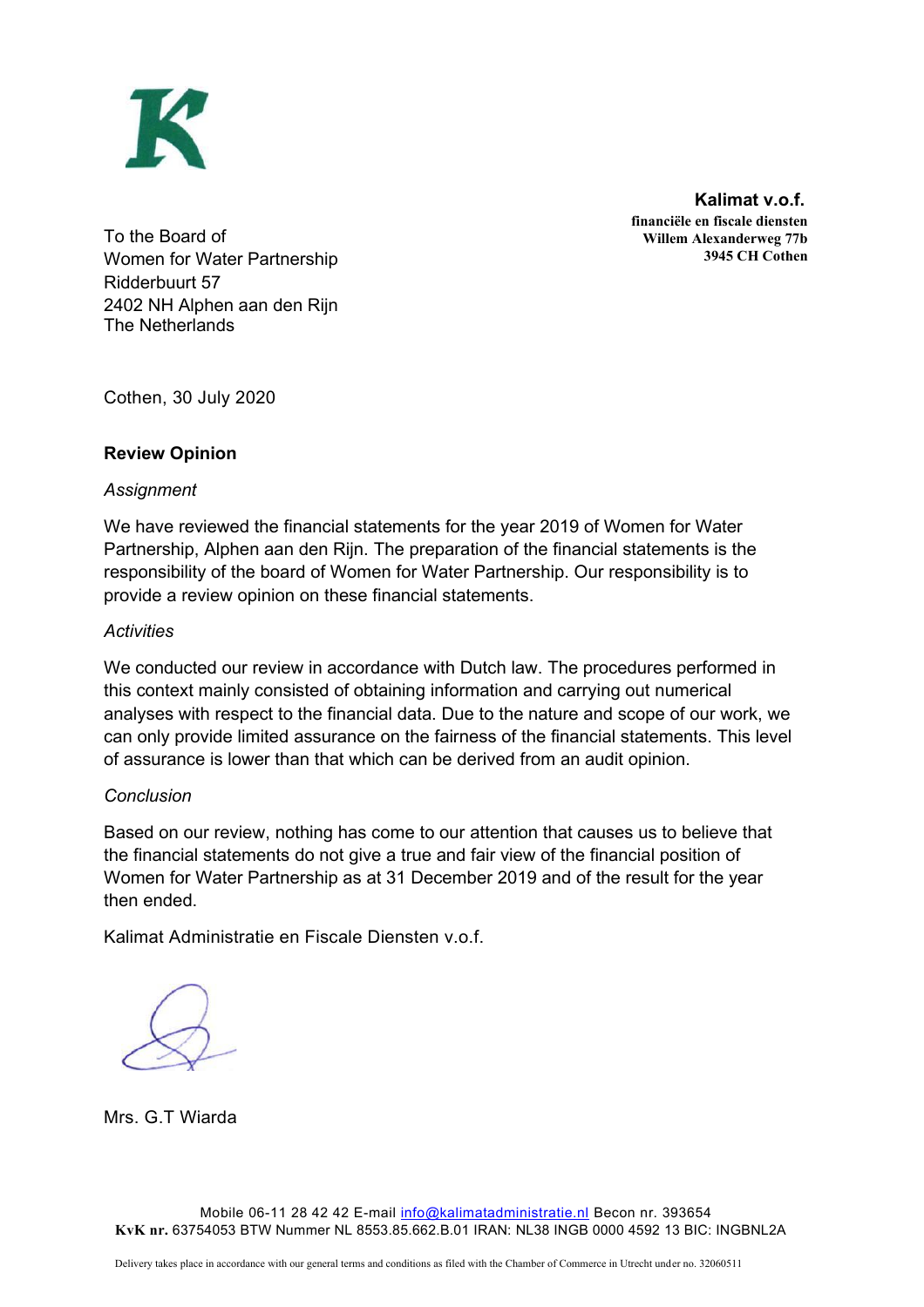

 **Kalimat v.o.f. financiële en fiscale diensten Willem Alexanderweg 77b 3945 CH Cothen**

To the Board of Women for Water Partnership Ridderbuurt 57 2402 NH Alphen aan den Rijn The Netherlands

Cothen, 30 July 2020

# **Review Opinion**

# *Assignment*

We have reviewed the financial statements for the year 2019 of Women for Water Partnership, Alphen aan den Rijn. The preparation of the financial statements is the responsibility of the board of Women for Water Partnership. Our responsibility is to provide a review opinion on these financial statements.

# *Activities*

We conducted our review in accordance with Dutch law. The procedures performed in this context mainly consisted of obtaining information and carrying out numerical analyses with respect to the financial data. Due to the nature and scope of our work, we can only provide limited assurance on the fairness of the financial statements. This level of assurance is lower than that which can be derived from an audit opinion.

# *Conclusion*

Based on our review, nothing has come to our attention that causes us to believe that the financial statements do not give a true and fair view of the financial position of Women for Water Partnership as at 31 December 2019 and of the result for the year then ended.

Kalimat Administratie en Fiscale Diensten v.o.f.

Mrs. G.T Wiarda